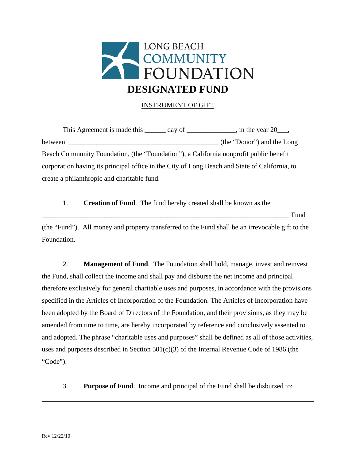

## INSTRUMENT OF GIFT

This Agreement is made this  $\frac{1}{\sqrt{2}}$  day of  $\frac{1}{\sqrt{2}}$ , in the year 20 $\frac{1}{\sqrt{2}}$ , between  $_{\text{(the "Donor")}}$  and the Long Beach Community Foundation, (the "Foundation"), a California nonprofit public benefit corporation having its principal office in the City of Long Beach and State of California, to create a philanthropic and charitable fund.

1. **Creation of Fund**. The fund hereby created shall be known as the \_\_\_\_\_\_\_\_\_\_\_\_\_\_\_\_\_\_\_\_\_\_\_\_\_\_\_\_\_\_\_\_\_\_\_\_\_\_\_\_\_\_\_\_\_\_\_\_\_\_\_\_\_\_\_\_\_\_\_\_\_\_\_\_\_\_\_\_\_\_\_ Fund (the "Fund"). All money and property transferred to the Fund shall be an irrevocable gift to the Foundation.

2. **Management of Fund**. The Foundation shall hold, manage, invest and reinvest the Fund, shall collect the income and shall pay and disburse the net income and principal therefore exclusively for general charitable uses and purposes, in accordance with the provisions specified in the Articles of Incorporation of the Foundation. The Articles of Incorporation have been adopted by the Board of Directors of the Foundation, and their provisions, as they may be amended from time to time, are hereby incorporated by reference and conclusively assented to and adopted. The phrase "charitable uses and purposes" shall be defined as all of those activities, uses and purposes described in Section  $501(c)(3)$  of the Internal Revenue Code of 1986 (the "Code").

3. **Purpose of Fund**. Income and principal of the Fund shall be disbursed to:

l

l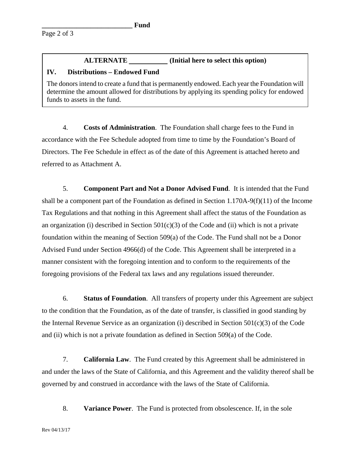## **ALTERNATE (Initial here to select this option)**

## **IV. Distributions – Endowed Fund**

The donors intend to create a fund that is permanently endowed. Each year the Foundation will determine the amount allowed for distributions by applying its spending policy for endowed funds to assets in the fund.

4. **Costs of Administration**. The Foundation shall charge fees to the Fund in accordance with the Fee Schedule adopted from time to time by the Foundation's Board of Directors. The Fee Schedule in effect as of the date of this Agreement is attached hereto and referred to as Attachment A.

5. **Component Part and Not a Donor Advised Fund**. It is intended that the Fund shall be a component part of the Foundation as defined in Section 1.170A-9(f)(11) of the Income Tax Regulations and that nothing in this Agreement shall affect the status of the Foundation as an organization (i) described in Section  $501(c)(3)$  of the Code and (ii) which is not a private foundation within the meaning of Section 509(a) of the Code. The Fund shall not be a Donor Advised Fund under Section 4966(d) of the Code. This Agreement shall be interpreted in a manner consistent with the foregoing intention and to conform to the requirements of the foregoing provisions of the Federal tax laws and any regulations issued thereunder.

6. **Status of Foundation**. All transfers of property under this Agreement are subject to the condition that the Foundation, as of the date of transfer, is classified in good standing by the Internal Revenue Service as an organization (i) described in Section 501(c)(3) of the Code and (ii) which is not a private foundation as defined in Section 509(a) of the Code.

7. **California Law**. The Fund created by this Agreement shall be administered in and under the laws of the State of California, and this Agreement and the validity thereof shall be governed by and construed in accordance with the laws of the State of California.

8. **Variance Power**. The Fund is protected from obsolescence. If, in the sole